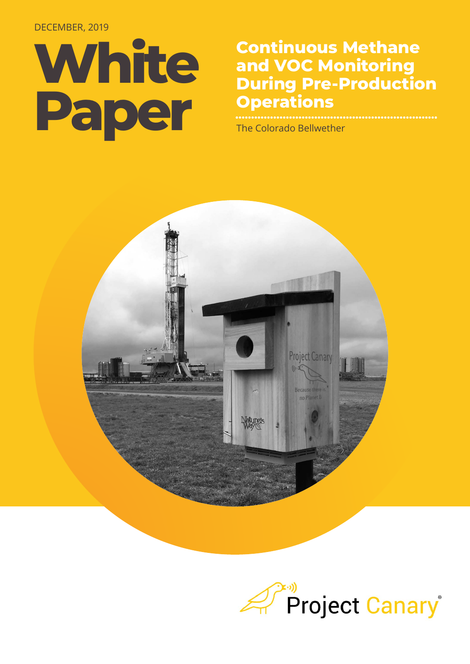#### DECEMBER, 2019

## **White Paper**

#### **Continuous Methane and VOC Monitoring During Pre-Production Operations**

The Colorado Bellwether



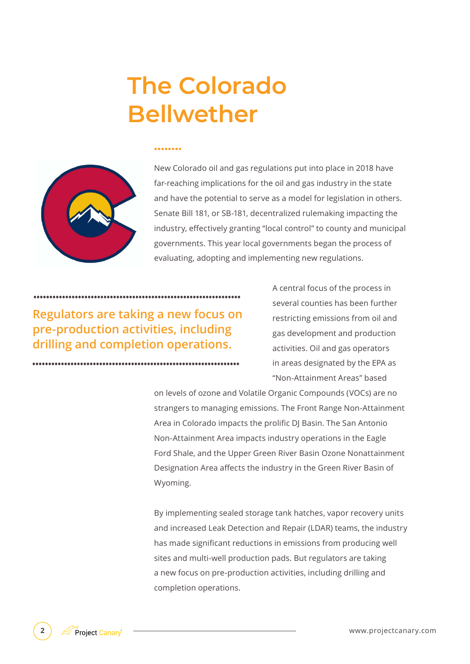## **The Colorado Bellwether**

.......



New Colorado oil and gas regulations put into place in 2018 have far-reaching implications for the oil and gas industry in the state and have the potential to serve as a model for legislation in others. Senate Bill 181, or SB-181, decentralized rulemaking impacting the industry, effectively granting "local control" to county and municipal governments. This year local governments began the process of evaluating, adopting and implementing new regulations.

**Regulators are taking a new focus on pre-production activities, including drilling and completion operations.** 

A central focus of the process in several counties has been further restricting emissions from oil and gas development and production activities. Oil and gas operators in areas designated by the EPA as "Non-Attainment Areas" based

on levels of ozone and Volatile Organic Compounds (VOCs) are no strangers to managing emissions. The Front Range Non-Attainment Area in Colorado impacts the prolific DJ Basin. The San Antonio Non-Attainment Area impacts industry operations in the Eagle Ford Shale, and the Upper Green River Basin Ozone Nonattainment Designation Area affects the industry in the Green River Basin of Wyoming.

By implementing sealed storage tank hatches, vapor recovery units and increased Leak Detection and Repair (LDAR) teams, the industry has made significant reductions in emissions from producing well sites and multi-well production pads. But regulators are taking a new focus on pre-production activities, including drilling and completion operations.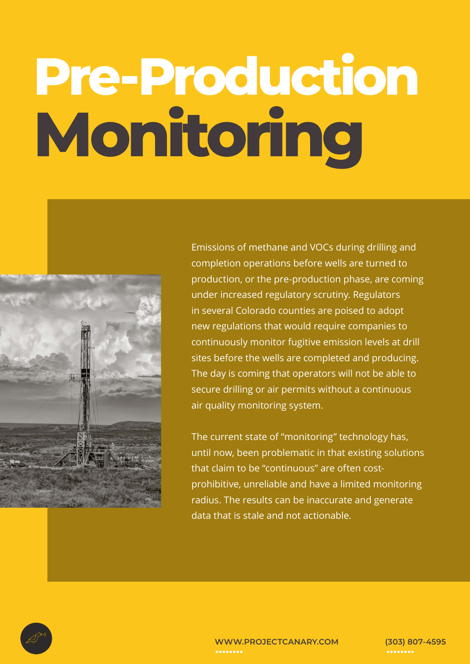# **Pre-Production Monitoring**



Emissions of methane and VOCs during drilling and completion operations before wells are turned to production, or the pre-production phase, are coming under increased regulatory scrutiny. Regulators in several Colorado counties are poised to adopt new regulations that would require companies to continuously monitor fugitive emission levels at drill sites before the wells are completed and producing. The day is coming that operators will not be able to secure drilling or air permits without a continuous air quality monitoring system.

The current state of "monitoring" technology has, until now, been problematic in that existing solutions that claim to be "continuous" are often costprohibitive, unreliable and have a limited monitoring radius. The results can be inaccurate and generate data that is stale and not actionable.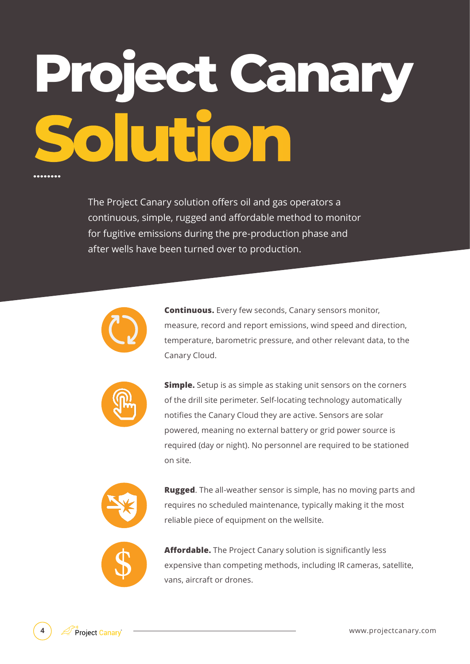# **Project Canary Solution**

The Project Canary solution offers oil and gas operators a continuous, simple, rugged and affordable method to monitor for fugitive emissions during the pre-production phase and after wells have been turned over to production.



**Continuous.** Every few seconds, Canary sensors monitor, measure, record and report emissions, wind speed and direction, temperature, barometric pressure, and other relevant data, to the Canary Cloud.



**Simple.** Setup is as simple as staking unit sensors on the corners of the drill site perimeter. Self-locating technology automatically notifies the Canary Cloud they are active. Sensors are solar powered, meaning no external battery or grid power source is required (day or night). No personnel are required to be stationed on site.



**Rugged**. The all-weather sensor is simple, has no moving parts and requires no scheduled maintenance, typically making it the most reliable piece of equipment on the wellsite.



**Affordable.** The Project Canary solution is significantly less expensive than competing methods, including IR cameras, satellite, vans, aircraft or drones.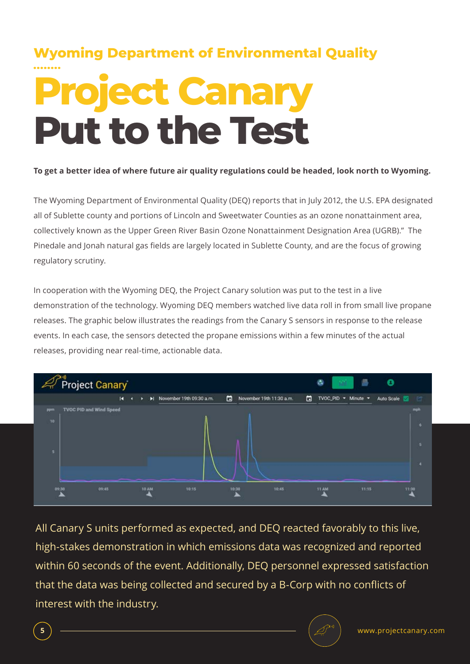## **Project Canary Put to the Test Wyoming Department of Environmental Quality**

#### **To get a better idea of where future air quality regulations could be headed, look north to Wyoming.**

The Wyoming Department of Environmental Quality (DEQ) reports that in July 2012, the U.S. EPA designated all of Sublette county and portions of Lincoln and Sweetwater Counties as an ozone nonattainment area, collectively known as the Upper Green River Basin Ozone Nonattainment Designation Area (UGRB)." The Pinedale and Jonah natural gas fields are largely located in Sublette County, and are the focus of growing regulatory scrutiny.

In cooperation with the Wyoming DEQ, the Project Canary solution was put to the test in a live demonstration of the technology. Wyoming DEQ members watched live data roll in from small live propane releases. The graphic below illustrates the readings from the Canary S sensors in response to the release events. In each case, the sensors detected the propane emissions within a few minutes of the actual releases, providing near real-time, actionable data.



All Canary S units performed as expected, and DEQ reacted favorably to this live, high-stakes demonstration in which emissions data was recognized and reported within 60 seconds of the event. Additionally, DEQ personnel expressed satisfaction that the data was being collected and secured by a B-Corp with no conflicts of interest with the industry.

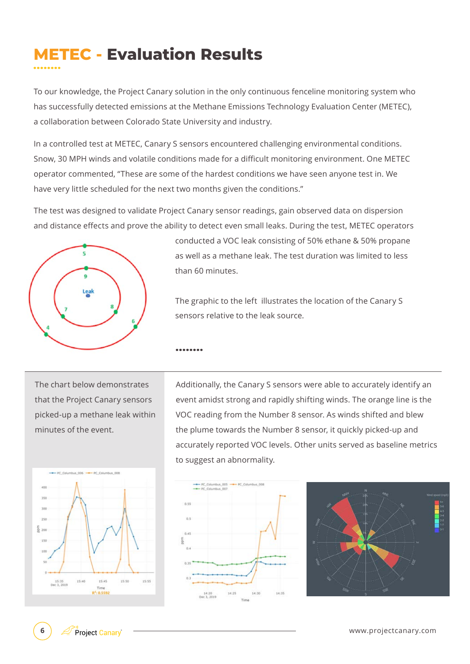### **METEC - Evaluation Results**

To our knowledge, the Project Canary solution in the only continuous fenceline monitoring system who has successfully detected emissions at the Methane Emissions Technology Evaluation Center (METEC), a collaboration between Colorado State University and industry.

In a controlled test at METEC, Canary S sensors encountered challenging environmental conditions. Snow, 30 MPH winds and volatile conditions made for a difficult monitoring environment. One METEC operator commented, "These are some of the hardest conditions we have seen anyone test in. We have very little scheduled for the next two months given the conditions."

The test was designed to validate Project Canary sensor readings, gain observed data on dispersion and distance effects and prove the ability to detect even small leaks. During the test, METEC operators

........



conducted a VOC leak consisting of 50% ethane & 50% propane as well as a methane leak. The test duration was limited to less than 60 minutes.

The graphic to the left illustrates the location of the Canary S sensors relative to the leak source.

The chart below demonstrates that the Project Canary sensors picked-up a methane leak within minutes of the event.





 $n<sub>2</sub>$  $0.8$  $14:35$ 14:20<br>Dec 1, 2019

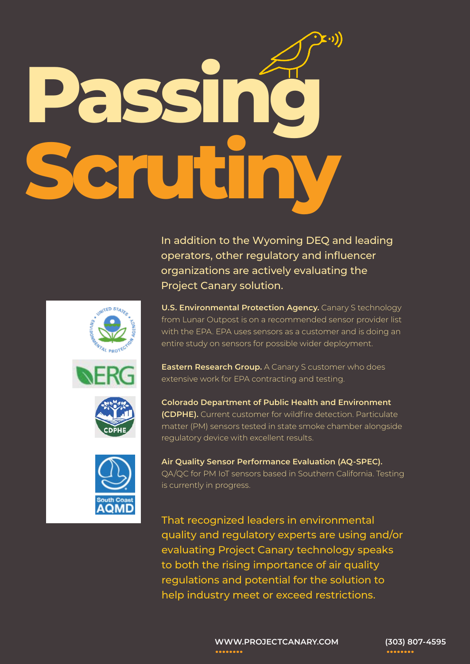# **Passing Scrutiny**

In addition to the Wyoming DEQ and leading operators, other regulatory and influencer organizations are actively evaluating the Project Canary solution.

**U.S. Environmental Protection Agency.** Canary S technology from Lunar Outpost is on a recommended sensor provider list with the EPA. EPA uses sensors as a customer and is doing an entire study on sensors for possible wider deployment.

**Eastern Research Group.** A Canary S customer who does extensive work for EPA contracting and testing.

**Colorado Department of Public Health and Environment (CDPHE).** Current customer for wildfire detection. Particulate matter (PM) sensors tested in state smoke chamber alongside regulatory device with excellent results.

**Air Quality Sensor Performance Evaluation (AQ-SPEC).**  QA/QC for PM IoT sensors based in Southern California. Testing is currently in progress.

That recognized leaders in environmental quality and regulatory experts are using and/or evaluating Project Canary technology speaks to both the rising importance of air quality regulations and potential for the solution to help industry meet or exceed restrictions.



**WWW.PROJECTCANARY.COM (303) 807-4595** ........